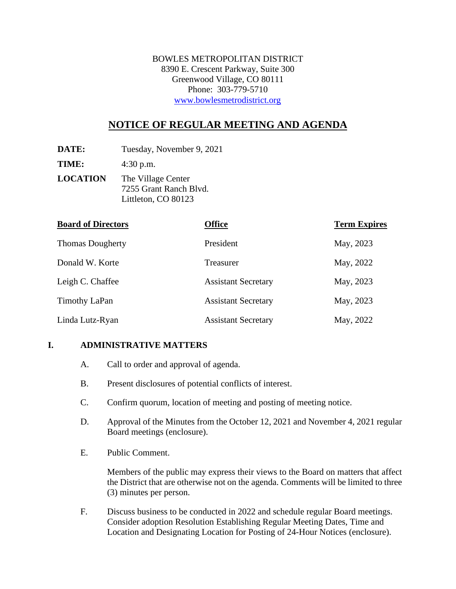BOWLES METROPOLITAN DISTRICT 8390 E. Crescent Parkway, Suite 300 Greenwood Village, CO 80111 Phone: 303-779-5710 [www.bowlesmetrodistrict.org](http://www.bowlesmetrodistrict.org/) 

# **NOTICE OF REGULAR MEETING AND AGENDA**

**DATE:** Tuesday, November 9, 2021

**TIME:** 4:30 p.m.

**LOCATION** The Village Center 7255 Grant Ranch Blvd. Littleton, CO 80123

| <b>Board of Directors</b> | <b>Office</b>              | <b>Term Expires</b> |
|---------------------------|----------------------------|---------------------|
| <b>Thomas Dougherty</b>   | President                  | May, 2023           |
| Donald W. Korte           | Treasurer                  | May, 2022           |
| Leigh C. Chaffee          | <b>Assistant Secretary</b> | May, 2023           |
| Timothy LaPan             | <b>Assistant Secretary</b> | May, 2023           |
| Linda Lutz-Ryan           | <b>Assistant Secretary</b> | May, 2022           |

#### **I. ADMINISTRATIVE MATTERS**

- A. Call to order and approval of agenda.
- B. Present disclosures of potential conflicts of interest.
- C. Confirm quorum, location of meeting and posting of meeting notice.
- D. Approval of the Minutes from the October 12, 2021 and November 4, 2021 regular Board meetings (enclosure).
- E. Public Comment.

Members of the public may express their views to the Board on matters that affect the District that are otherwise not on the agenda. Comments will be limited to three (3) minutes per person.

F. Discuss business to be conducted in 2022 and schedule regular Board meetings. Consider adoption Resolution Establishing Regular Meeting Dates, Time and Location and Designating Location for Posting of 24-Hour Notices (enclosure).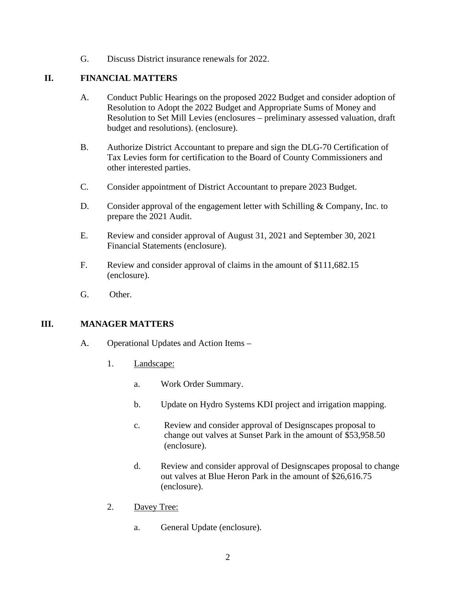G. Discuss District insurance renewals for 2022.

## **II. FINANCIAL MATTERS**

- A. Conduct Public Hearings on the proposed 2022 Budget and consider adoption of Resolution to Adopt the 2022 Budget and Appropriate Sums of Money and Resolution to Set Mill Levies (enclosures – preliminary assessed valuation, draft budget and resolutions). (enclosure).
- B. Authorize District Accountant to prepare and sign the DLG-70 Certification of Tax Levies form for certification to the Board of County Commissioners and other interested parties.
- C. Consider appointment of District Accountant to prepare 2023 Budget.
- D. Consider approval of the engagement letter with Schilling & Company, Inc. to prepare the 2021 Audit.
- E. Review and consider approval of August 31, 2021 and September 30, 2021 Financial Statements (enclosure).
- F. Review and consider approval of claims in the amount of \$111,682.15 (enclosure).
- G. Other.

### **III. MANAGER MATTERS**

- A. Operational Updates and Action Items
	- 1. Landscape:
		- a. Work Order Summary.
		- b. Update on Hydro Systems KDI project and irrigation mapping.
		- c. Review and consider approval of Designscapes proposal to change out valves at Sunset Park in the amount of \$53,958.50 (enclosure).
		- d. Review and consider approval of Designscapes proposal to change out valves at Blue Heron Park in the amount of \$26,616.75 (enclosure).
	- 2. Davey Tree:
		- a. General Update (enclosure).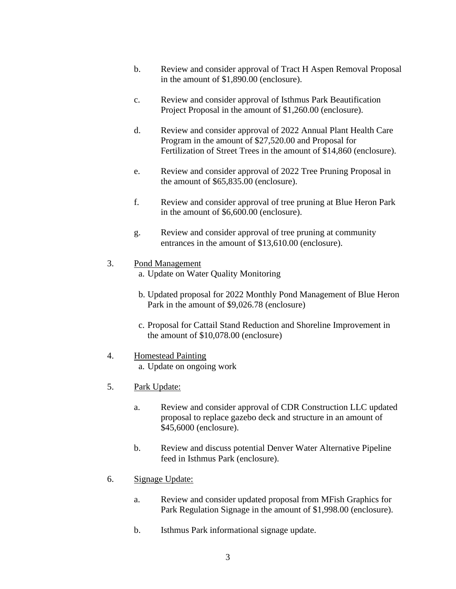- b. Review and consider approval of Tract H Aspen Removal Proposal in the amount of \$1,890.00 (enclosure).
- c. Review and consider approval of Isthmus Park Beautification Project Proposal in the amount of \$1,260.00 (enclosure).
- d. Review and consider approval of 2022 Annual Plant Health Care Program in the amount of \$27,520.00 and Proposal for Fertilization of Street Trees in the amount of \$14,860 (enclosure).
- e. Review and consider approval of 2022 Tree Pruning Proposal in the amount of \$65,835.00 (enclosure).
- f. Review and consider approval of tree pruning at Blue Heron Park in the amount of \$6,600.00 (enclosure).
- g. Review and consider approval of tree pruning at community entrances in the amount of \$13,610.00 (enclosure).
- 3. Pond Management
	- a. Update on Water Quality Monitoring
	- b. Updated proposal for 2022 Monthly Pond Management of Blue Heron Park in the amount of \$9,026.78 (enclosure)
	- c. Proposal for Cattail Stand Reduction and Shoreline Improvement in the amount of \$10,078.00 (enclosure)

#### 4. Homestead Painting

a. Update on ongoing work

- 5. Park Update:
	- a. Review and consider approval of CDR Construction LLC updated proposal to replace gazebo deck and structure in an amount of \$45,6000 (enclosure).
	- b. Review and discuss potential Denver Water Alternative Pipeline feed in Isthmus Park (enclosure).
- 6. Signage Update:
	- a. Review and consider updated proposal from MFish Graphics for Park Regulation Signage in the amount of \$1,998.00 (enclosure).
	- b. Isthmus Park informational signage update.